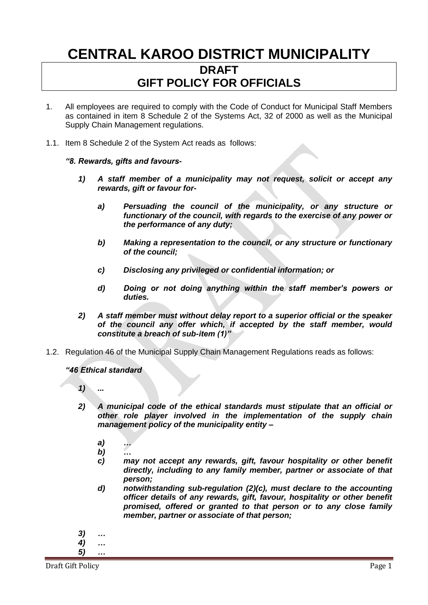# **CENTRAL KAROO DISTRICT MUNICIPALITY DRAFT GIFT POLICY FOR OFFICIALS**

- 1. All employees are required to comply with the Code of Conduct for Municipal Staff Members as contained in item 8 Schedule 2 of the Systems Act, 32 of 2000 as well as the Municipal Supply Chain Management regulations.
- 1.1. Item 8 Schedule 2 of the System Act reads as follows:

#### *"8. Rewards, gifts and favours-*

- *1) A staff member of a municipality may not request, solicit or accept any rewards, gift or favour for*
	- *a) Persuading the council of the municipality, or any structure or functionary of the council, with regards to the exercise of any power or the performance of any duty;*
	- *b) Making a representation to the council, or any structure or functionary of the council;*
	- *c) Disclosing any privileged or confidential information; or*
	- *d) Doing or not doing anything within the staff member's powers or duties.*
- *2) A staff member must without delay report to a superior official or the speaker of the council any offer which, if accepted by the staff member, would constitute a breach of sub-item (1)"*
- 1.2. Regulation 46 of the Municipal Supply Chain Management Regulations reads as follows:

*"46 Ethical standard* 

- *1) ...*
- *2) A municipal code of the ethical standards must stipulate that an official or other role player involved in the implementation of the supply chain management policy of the municipality entity –*
	- *a) …*
	- *b) …*
	- *c) may not accept any rewards, gift, favour hospitality or other benefit directly, including to any family member, partner or associate of that person;*
	- *d) notwithstanding sub-regulation (2)(c), must declare to the accounting officer details of any rewards, gift, favour, hospitality or other benefit promised, offered or granted to that person or to any close family member, partner or associate of that person;*
- *3) … 4) … 5) …*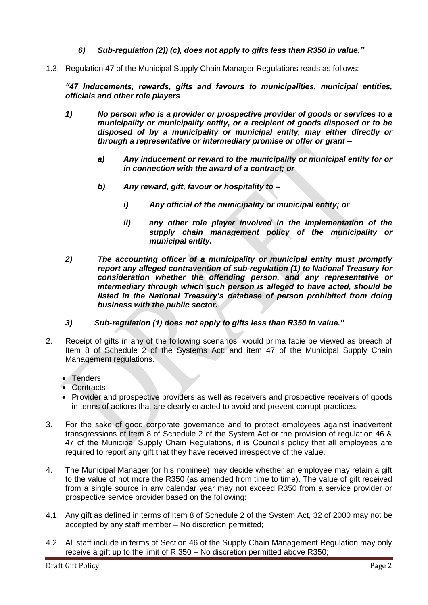- *6) Sub-regulation (2)) (c), does not apply to gifts less than R350 in value."*
- 1.3. Regulation 47 of the Municipal Supply Chain Manager Regulations reads as follows:

*"47 Inducements, rewards, gifts and favours to municipalities, municipal entities, officials and other role players*

- *1) No person who is a provider or prospective provider of goods or services to a municipality or municipality entity, or a recipient of goods disposed or to be disposed of by a municipality or municipal entity, may either directly or through a representative or intermediary promise or offer or grant –*
	- *a) Any inducement or reward to the municipality or municipal entity for or in connection with the award of a contract; or*
	- *b) Any reward, gift, favour or hospitality to –*
		- *i) Any official of the municipality or municipal entity; or*
		- *ii) any other role player involved in the implementation of the supply chain management policy of the municipality or municipal entity.*
- *2) The accounting officer of a municipality or municipal entity must promptly report any alleged contravention of sub-regulation (1) to National Treasury for consideration whether the offending person, and any representative or intermediary through which such person is alleged to have acted, should be listed in the National Treasury's database of person prohibited from doing business with the public sector.*
- *3) Sub-regulation (1) does not apply to gifts less than R350 in value."*
- 2. Receipt of gifts in any of the following scenarios would prima facie be viewed as breach of Item 8 of Schedule 2 of the Systems Act: and item 47 of the Municipal Supply Chain Management regulations.
	- Tenders
	- Contracts
	- Provider and prospective providers as well as receivers and prospective receivers of goods in terms of actions that are clearly enacted to avoid and prevent corrupt practices.
- 3. For the sake of good corporate governance and to protect employees against inadvertent transgressions of Item 8 of Schedule 2 of the System Act or the provision of regulation 46 & 47 of the Municipal Supply Chain Regulations, it is Council's policy that all employees are required to report any gift that they have received irrespective of the value.
- 4. The Municipal Manager (or his nominee) may decide whether an employee may retain a gift to the value of not more the R350 (as amended from time to time). The value of gift received from a single source in any calendar year may not exceed R350 from a service provider or prospective service provider based on the following:
- 4.1. Any gift as defined in terms of Item 8 of Schedule 2 of the System Act, 32 of 2000 may not be accepted by any staff member – No discretion permitted;
- 4.2. All staff include in terms of Section 46 of the Supply Chain Management Regulation may only receive a gift up to the limit of R 350 – No discretion permitted above R350;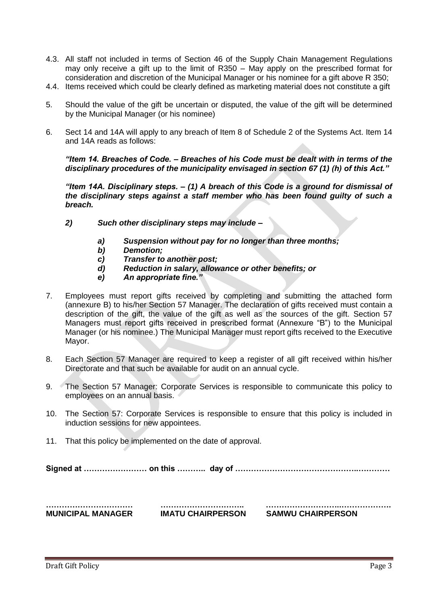- 4.3. All staff not included in terms of Section 46 of the Supply Chain Management Regulations may only receive a gift up to the limit of R350 – May apply on the prescribed format for consideration and discretion of the Municipal Manager or his nominee for a gift above R 350;
- 4.4. Items received which could be clearly defined as marketing material does not constitute a gift
- 5. Should the value of the gift be uncertain or disputed, the value of the gift will be determined by the Municipal Manager (or his nominee)
- 6. Sect 14 and 14A will apply to any breach of Item 8 of Schedule 2 of the Systems Act. Item 14 and 14A reads as follows:

*"Item 14. Breaches of Code. – Breaches of his Code must be dealt with in terms of the disciplinary procedures of the municipality envisaged in section 67 (1) (h) of this Act."*

*"Item 14A. Disciplinary steps. – (1) A breach of this Code is a ground for dismissal of the disciplinary steps against a staff member who has been found guilty of such a breach.*

- *2) Such other disciplinary steps may include –*
	- *a) Suspension without pay for no longer than three months;*
	- *b) Demotion;*
	- *c) Transfer to another post;*
	- *d) Reduction in salary, allowance or other benefits; or*
	- *e) An appropriate fine."*
- 7. Employees must report gifts received by completing and submitting the attached form (annexure B) to his/her Section 57 Manager. The declaration of gifts received must contain a description of the gift, the value of the gift as well as the sources of the gift. Section 57 Managers must report gifts received in prescribed format (Annexure "B") to the Municipal Manager (or his nominee.) The Municipal Manager must report gifts received to the Executive Mayor.
- 8. Each Section 57 Manager are required to keep a register of all gift received within his/her Directorate and that such be available for audit on an annual cycle.
- 9. The Section 57 Manager: Corporate Services is responsible to communicate this policy to employees on an annual basis.
- 10. The Section 57: Corporate Services is responsible to ensure that this policy is included in induction sessions for new appointees.
- 11. That this policy be implemented on the date of approval.

**Signed at …………………… on this ……….. day of ………………………………………..…………**

**MUNICIPAL MANAGER IMATU CHAIRPERSON SAMWU CHAIRPERSON** 

**…………………………… ………………………….. ………………………..……………….**